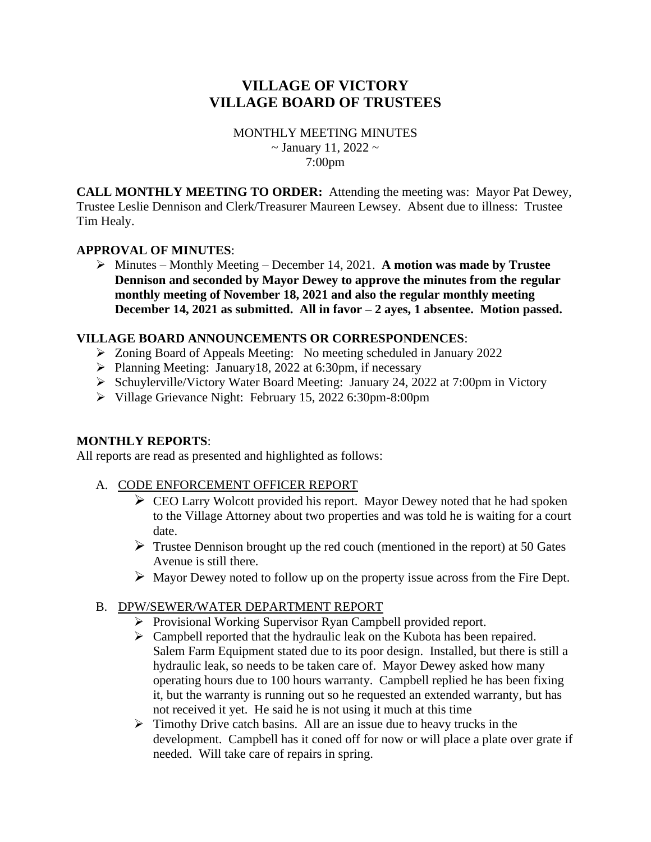# **VILLAGE OF VICTORY VILLAGE BOARD OF TRUSTEES**

MONTHLY MEETING MINUTES  $\sim$  January 11, 2022  $\sim$ 7:00pm

**CALL MONTHLY MEETING TO ORDER:** Attending the meeting was: Mayor Pat Dewey, Trustee Leslie Dennison and Clerk/Treasurer Maureen Lewsey. Absent due to illness: Trustee Tim Healy.

### **APPROVAL OF MINUTES**:

➢ Minutes – Monthly Meeting – December 14, 2021. **A motion was made by Trustee Dennison and seconded by Mayor Dewey to approve the minutes from the regular monthly meeting of November 18, 2021 and also the regular monthly meeting December 14, 2021 as submitted. All in favor – 2 ayes, 1 absentee. Motion passed.**

### **VILLAGE BOARD ANNOUNCEMENTS OR CORRESPONDENCES**:

- ➢ Zoning Board of Appeals Meeting: No meeting scheduled in January 2022
- ➢ Planning Meeting: January18, 2022 at 6:30pm, if necessary
- ➢ Schuylerville/Victory Water Board Meeting: January 24, 2022 at 7:00pm in Victory
- ➢ Village Grievance Night: February 15, 2022 6:30pm-8:00pm

### **MONTHLY REPORTS**:

All reports are read as presented and highlighted as follows:

### A. CODE ENFORCEMENT OFFICER REPORT

- $\triangleright$  CEO Larry Wolcott provided his report. Mayor Dewey noted that he had spoken to the Village Attorney about two properties and was told he is waiting for a court date.
- $\triangleright$  Trustee Dennison brought up the red couch (mentioned in the report) at 50 Gates Avenue is still there.
- $\triangleright$  Mayor Dewey noted to follow up on the property issue across from the Fire Dept.

### B. DPW/SEWER/WATER DEPARTMENT REPORT

- ➢ Provisional Working Supervisor Ryan Campbell provided report.
- ➢ Campbell reported that the hydraulic leak on the Kubota has been repaired. Salem Farm Equipment stated due to its poor design. Installed, but there is still a hydraulic leak, so needs to be taken care of. Mayor Dewey asked how many operating hours due to 100 hours warranty. Campbell replied he has been fixing it, but the warranty is running out so he requested an extended warranty, but has not received it yet. He said he is not using it much at this time
- $\triangleright$  Timothy Drive catch basins. All are an issue due to heavy trucks in the development. Campbell has it coned off for now or will place a plate over grate if needed. Will take care of repairs in spring.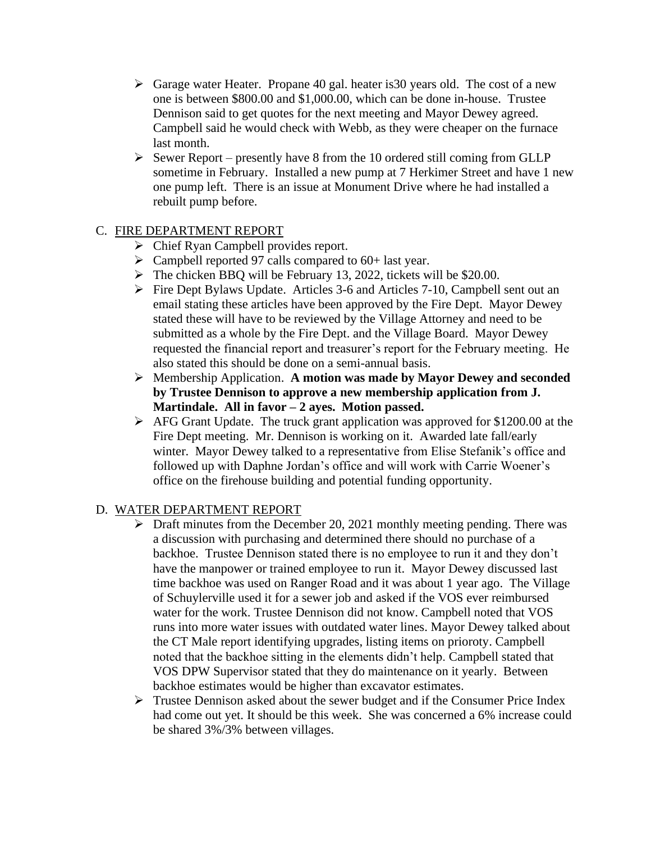- $\triangleright$  Garage water Heater. Propane 40 gal. heater is 30 years old. The cost of a new one is between \$800.00 and \$1,000.00, which can be done in-house. Trustee Dennison said to get quotes for the next meeting and Mayor Dewey agreed. Campbell said he would check with Webb, as they were cheaper on the furnace last month.
- $\triangleright$  Sewer Report presently have 8 from the 10 ordered still coming from GLLP sometime in February. Installed a new pump at 7 Herkimer Street and have 1 new one pump left. There is an issue at Monument Drive where he had installed a rebuilt pump before.

# C. FIRE DEPARTMENT REPORT

- ➢ Chief Ryan Campbell provides report.
- $\triangleright$  Campbell reported 97 calls compared to 60+ last year.
- ➢ The chicken BBQ will be February 13, 2022, tickets will be \$20.00.
- ➢ Fire Dept Bylaws Update. Articles 3-6 and Articles 7-10, Campbell sent out an email stating these articles have been approved by the Fire Dept. Mayor Dewey stated these will have to be reviewed by the Village Attorney and need to be submitted as a whole by the Fire Dept. and the Village Board. Mayor Dewey requested the financial report and treasurer's report for the February meeting. He also stated this should be done on a semi-annual basis.
- ➢ Membership Application. **A motion was made by Mayor Dewey and seconded by Trustee Dennison to approve a new membership application from J. Martindale. All in favor – 2 ayes. Motion passed.**
- $\triangleright$  AFG Grant Update. The truck grant application was approved for \$1200.00 at the Fire Dept meeting. Mr. Dennison is working on it. Awarded late fall/early winter. Mayor Dewey talked to a representative from Elise Stefanik's office and followed up with Daphne Jordan's office and will work with Carrie Woener's office on the firehouse building and potential funding opportunity.

### D. WATER DEPARTMENT REPORT

- $\triangleright$  Draft minutes from the December 20, 2021 monthly meeting pending. There was a discussion with purchasing and determined there should no purchase of a backhoe. Trustee Dennison stated there is no employee to run it and they don't have the manpower or trained employee to run it. Mayor Dewey discussed last time backhoe was used on Ranger Road and it was about 1 year ago. The Village of Schuylerville used it for a sewer job and asked if the VOS ever reimbursed water for the work. Trustee Dennison did not know. Campbell noted that VOS runs into more water issues with outdated water lines. Mayor Dewey talked about the CT Male report identifying upgrades, listing items on prioroty. Campbell noted that the backhoe sitting in the elements didn't help. Campbell stated that VOS DPW Supervisor stated that they do maintenance on it yearly. Between backhoe estimates would be higher than excavator estimates.
- $\triangleright$  Trustee Dennison asked about the sewer budget and if the Consumer Price Index had come out yet. It should be this week. She was concerned a 6% increase could be shared 3%/3% between villages.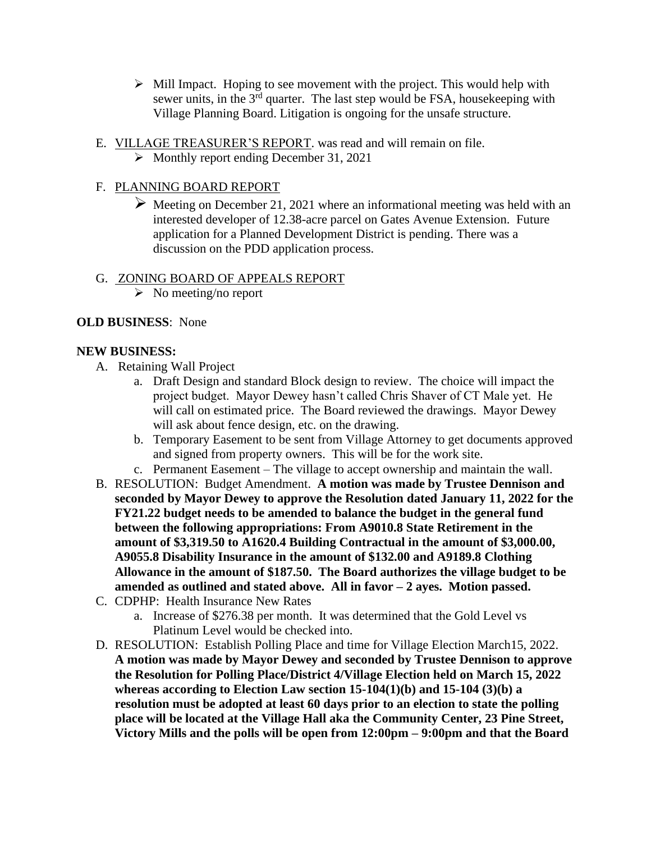- $\triangleright$  Mill Impact. Hoping to see movement with the project. This would help with sewer units, in the  $3<sup>rd</sup>$  quarter. The last step would be FSA, housekeeping with Village Planning Board. Litigation is ongoing for the unsafe structure.
- E. VILLAGE TREASURER'S REPORT. was read and will remain on file.
	- ➢ Monthly report ending December 31, 2021

## F. PLANNING BOARD REPORT

 $\triangleright$  Meeting on December 21, 2021 where an informational meeting was held with an interested developer of 12.38-acre parcel on Gates Avenue Extension. Future application for a Planned Development District is pending. There was a discussion on the PDD application process.

### G. ZONING BOARD OF APPEALS REPORT

 $\triangleright$  No meeting/no report

### **OLD BUSINESS**: None

### **NEW BUSINESS:**

- A. Retaining Wall Project
	- a. Draft Design and standard Block design to review. The choice will impact the project budget. Mayor Dewey hasn't called Chris Shaver of CT Male yet. He will call on estimated price. The Board reviewed the drawings. Mayor Dewey will ask about fence design, etc. on the drawing.
	- b. Temporary Easement to be sent from Village Attorney to get documents approved and signed from property owners. This will be for the work site.
	- c. Permanent Easement The village to accept ownership and maintain the wall.
- B. RESOLUTION: Budget Amendment. **A motion was made by Trustee Dennison and seconded by Mayor Dewey to approve the Resolution dated January 11, 2022 for the FY21.22 budget needs to be amended to balance the budget in the general fund between the following appropriations: From A9010.8 State Retirement in the amount of \$3,319.50 to A1620.4 Building Contractual in the amount of \$3,000.00, A9055.8 Disability Insurance in the amount of \$132.00 and A9189.8 Clothing Allowance in the amount of \$187.50. The Board authorizes the village budget to be amended as outlined and stated above. All in favor – 2 ayes. Motion passed.**
- C. CDPHP: Health Insurance New Rates
	- a. Increase of \$276.38 per month. It was determined that the Gold Level vs Platinum Level would be checked into.
- D. RESOLUTION: Establish Polling Place and time for Village Election March15, 2022. **A motion was made by Mayor Dewey and seconded by Trustee Dennison to approve the Resolution for Polling Place/District 4/Village Election held on March 15, 2022 whereas according to Election Law section 15-104(1)(b) and 15-104 (3)(b) a resolution must be adopted at least 60 days prior to an election to state the polling place will be located at the Village Hall aka the Community Center, 23 Pine Street, Victory Mills and the polls will be open from 12:00pm – 9:00pm and that the Board**